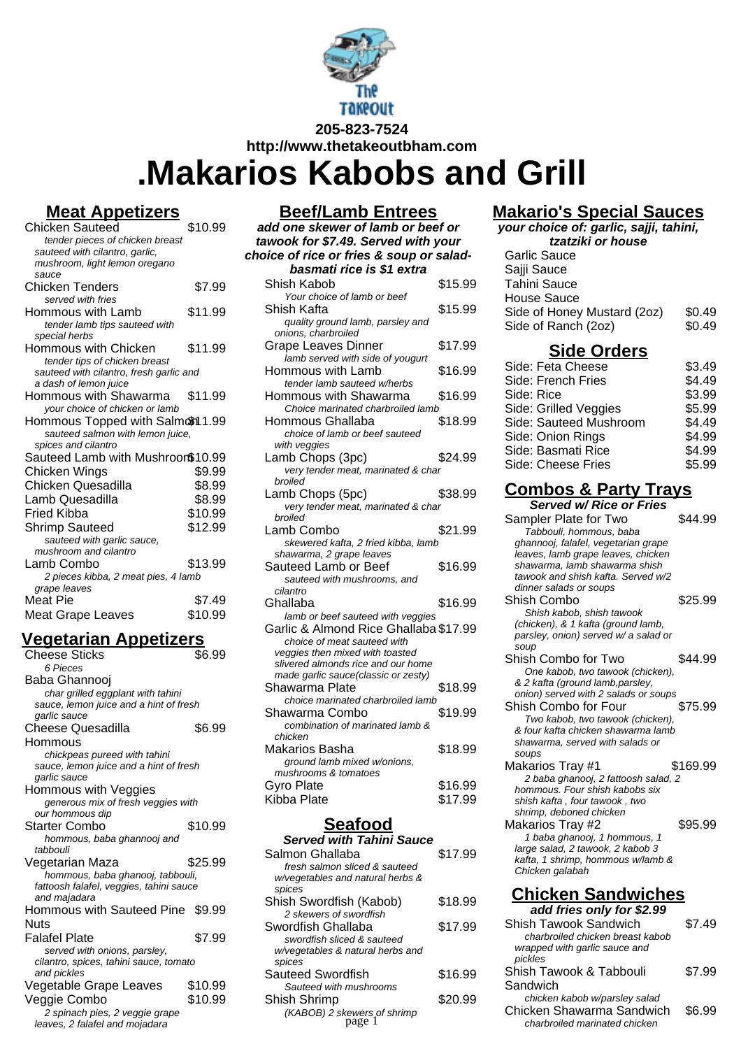

# **.Makarios Kabobs and Grill**

### **Meat Appetizers**

| Chicken Sauteed                                         | \$10.99 |
|---------------------------------------------------------|---------|
| tender pieces of chicken breast                         |         |
| sauteed with cilantro, garlic,                          |         |
| mushroom, light lemon oregano                           |         |
| sauce                                                   |         |
| Chicken Tenders                                         | \$7.99  |
| served with fries                                       |         |
| Hommous with Lamb                                       | \$11.99 |
| tender lamb tips sauteed with                           |         |
| special herbs                                           |         |
| Hommous with Chicken                                    | \$11.99 |
| tender tips of chicken breast                           |         |
| sauteed with cilantro, fresh garlic and                 |         |
| a dash of lemon juice<br>Hommous with Shawarma          |         |
|                                                         | \$11.99 |
| your choice of chicken or lamb                          |         |
| Hommous Topped with Salmon1.99                          |         |
| sauteed salmon with lemon juice,<br>spices and cilantro |         |
| Sauteed Lamb with Mushroon\$10.99                       |         |
|                                                         |         |
| Chicken Wings                                           | \$9.99  |
| Chicken Quesadilla                                      | \$8.99  |
| Lamb Quesadilla                                         | \$8.99  |
| Fried Kibba                                             | \$10.99 |
| Shrimp Sauteed                                          | \$12.99 |
| sauteed with garlic sauce,                              |         |
| mushroom and cilantro                                   |         |
| Lamb Combo                                              | \$13.99 |
| 2 pieces kibba, 2 meat pies, 4 lamb                     |         |
| grape leaves                                            |         |
| Meat Pie                                                | \$7.49  |
| Meat Grape Leaves                                       | \$10.99 |

### **Vegetarian Appetizers**

| Cheese Sticks<br>6 Pieces                        | \$6.99  |
|--------------------------------------------------|---------|
| Baba Ghannooj                                    |         |
| char grilled eggplant with tahini                |         |
| sauce, lemon juice and a hint of fresh           |         |
| garlic sauce                                     |         |
| Cheese Quesadilla                                | \$6.99  |
| Hommous                                          |         |
| chickpeas pureed with tahini                     |         |
| sauce, lemon juice and a hint of fresh           |         |
| garlic sauce                                     |         |
| Hommous with Veggies                             |         |
| generous mix of fresh veggies with               |         |
| our hommous dip                                  |         |
| <b>Starter Combo</b>                             | \$10.99 |
| hommous, baba ghannooj and                       |         |
| tabbouli                                         |         |
| Vegetarian Maza                                  | \$25.99 |
| hommous, baba ghanooj, tabbouli,                 |         |
| fattoosh falafel, veggies, tahini sauce          |         |
| and majadara<br>Hommous with Sauteed Pine \$9.99 |         |
|                                                  |         |
| <b>Nuts</b>                                      |         |
| Falafel Plate                                    | \$7.99  |
| served with onions, parsley,                     |         |
| cilantro, spices, tahini sauce, tomato           |         |
| and pickles                                      |         |
| Vegetable Grape Leaves                           | \$10.99 |
| Veggie Combo                                     | \$10.99 |
| 2 spinach pies, 2 veggie grape                   |         |
| leaves, 2 falafel and mojadara                   |         |

#### **Beef/Lamb Entrees**

| <u>Deel/Lanid Entrees</u>                                                  |         |
|----------------------------------------------------------------------------|---------|
| add one skewer of lamb or beef or                                          |         |
| tawook for \$7.49. Served with your                                        |         |
| choice of rice or fries & soup or salad-                                   |         |
| basmati rice is \$1 extra                                                  |         |
| Shish Kabob                                                                | \$15.99 |
| Your choice of lamb or beef                                                |         |
| Shish Kafta                                                                | \$15.99 |
| quality ground lamb, parsley and                                           |         |
| onions, charbroiled                                                        |         |
| <b>Grape Leaves Dinner</b>                                                 | \$17.99 |
| lamb served with side of yougurt                                           |         |
| Hommous with Lamb                                                          | \$16.99 |
| tender lamb sauteed w/herbs                                                |         |
| Hommous with Shawarma                                                      | \$16.99 |
| Choice marinated charbroiled lamb                                          |         |
| Hommous Ghallaba                                                           | \$18.99 |
| choice of lamb or beef sauteed                                             |         |
| with veggies<br>Lamb Chops (3pc)                                           | \$24.99 |
| very tender meat, marinated & char                                         |         |
| broiled                                                                    |         |
| Lamb Chops (5pc)                                                           | \$38.99 |
| very tender meat, marinated & char                                         |         |
| broiled                                                                    |         |
| Lamb Combo                                                                 | \$21.99 |
| skewered kafta, 2 fried kibba, lamb                                        |         |
| shawarma, 2 grape leaves                                                   |         |
| Sauteed Lamb or Beef                                                       | \$16.99 |
| sauteed with mushrooms, and                                                |         |
| cilantro                                                                   |         |
| Ghallaba                                                                   | \$16.99 |
| lamb or beef sauteed with veggies<br>Garlic & Almond Rice Ghallaba \$17.99 |         |
| choice of meat sauteed with                                                |         |
| veggies then mixed with toasted                                            |         |
| slivered almonds rice and our home                                         |         |
| made garlic sauce(classic or zesty)                                        |         |
| Shawarma Plate                                                             | \$18.99 |
| choice marinated charbroiled lamb                                          |         |
| Shawarma Combo                                                             | \$19.99 |
| combination of marinated lamb &                                            |         |
| chicken                                                                    |         |
| Makarios Basha                                                             | \$18.99 |
| ground lamb mixed w/onions,<br>mushrooms & tomatoes                        |         |
| <b>Gyro Plate</b>                                                          | \$16.99 |
| Kibba Plate                                                                | \$17.99 |
|                                                                            |         |
| Seafood                                                                    |         |

#### **Served with Tahini Sauce** Salmon Ghallaba  $$17.99$ fresh salmon sliced & sauteed w/vegetables and natural herbs & spices Shish Swordfish (Kabob) \$18.99 2 skewers of swordfish Swordfish Ghallaba  $$17.99$ swordfish sliced & sauteed w/vegetables & natural herbs and spices Sauteed Swordfish \$16.99 Sauteed with mushrooms Shish Shrimp \$20.99 (KABOB) 2 skewers of shrimp

#### **Makario's Special Sauces your choice of: garlic, sajji, tahini,**

| tzatziki or house           |        |
|-----------------------------|--------|
| Garlic Sauce                |        |
| Sajji Sauce                 |        |
| Tahini Sauce                |        |
| House Sauce                 |        |
| Side of Honey Mustard (2oz) | \$0.49 |
| Side of Ranch (2oz)         | \$0.49 |
| <b>Side Orders</b>          |        |
| Side: Feta Cheese           | \$3.49 |
| Side: French Fries          | \$4.49 |
| Side: Rice                  | \$3.99 |
| Side: Grilled Veggies       | \$5.99 |
| Side: Sauteed Mushroom      | \$4.49 |
| Side: Onion Rings           | \$4.99 |
| Side: Basmati Rice          | \$4.99 |
| Side: Cheese Fries          | \$5.99 |

# **Combos & Party Trays**

| <b>Served w/ Rice or Fries</b>       |          |
|--------------------------------------|----------|
| Sampler Plate for Two                | \$44.99  |
| Tabbouli, hommous, baba              |          |
| ghannooj, falafel, vegetarian grape  |          |
| leaves, lamb grape leaves, chicken   |          |
| shawarma, lamb shawarma shish        |          |
| tawook and shish kafta. Served w/2   |          |
| dinner salads or soups               |          |
| Shish Combo                          | \$25.99  |
| Shish kabob, shish tawook            |          |
| (chicken), & 1 kafta (ground lamb,   |          |
| parsley, onion) served w/ a salad or |          |
| soup                                 |          |
| Shish Combo for Two                  | \$44.99  |
| One kabob, two tawook (chicken),     |          |
| & 2 kafta (ground lamb, parsley,     |          |
| onion) served with 2 salads or soups |          |
| Shish Combo for Four                 | \$75.99  |
| Two kabob, two tawook (chicken),     |          |
| & four kafta chicken shawarma lamb   |          |
| shawarma, served with salads or      |          |
| soups                                |          |
| Makarios Tray #1                     | \$169.99 |
| 2 baba ghanooj, 2 fattoosh salad, 2  |          |
| hommous. Four shish kabobs six       |          |
| shish kafta, four tawook, two        |          |
| shrimp, deboned chicken              |          |
| Makarios Tray #2                     | \$95.99  |
| 1 baba ghanooj, 1 hommous, 1         |          |
| large salad, 2 tawook, 2 kabob 3     |          |
| kafta, 1 shrimp, hommous w/lamb &    |          |
| Chicken galabah                      |          |
| <b>Chicken Sandwiches</b>            |          |
| add fries only for \$2.99            |          |
|                                      |          |
| Shish Tawook Sandwich                | \$7.49   |
| charbroiled chicken breast kabob     |          |

wrapped with garlic sauce and

chicken kabob w/parsley salad Chicken Shawarma Sandwich \$6.99 charbroiled marinated chicken

\$7.99

Shish Tawook & Tabbouli

pickles

Sandwich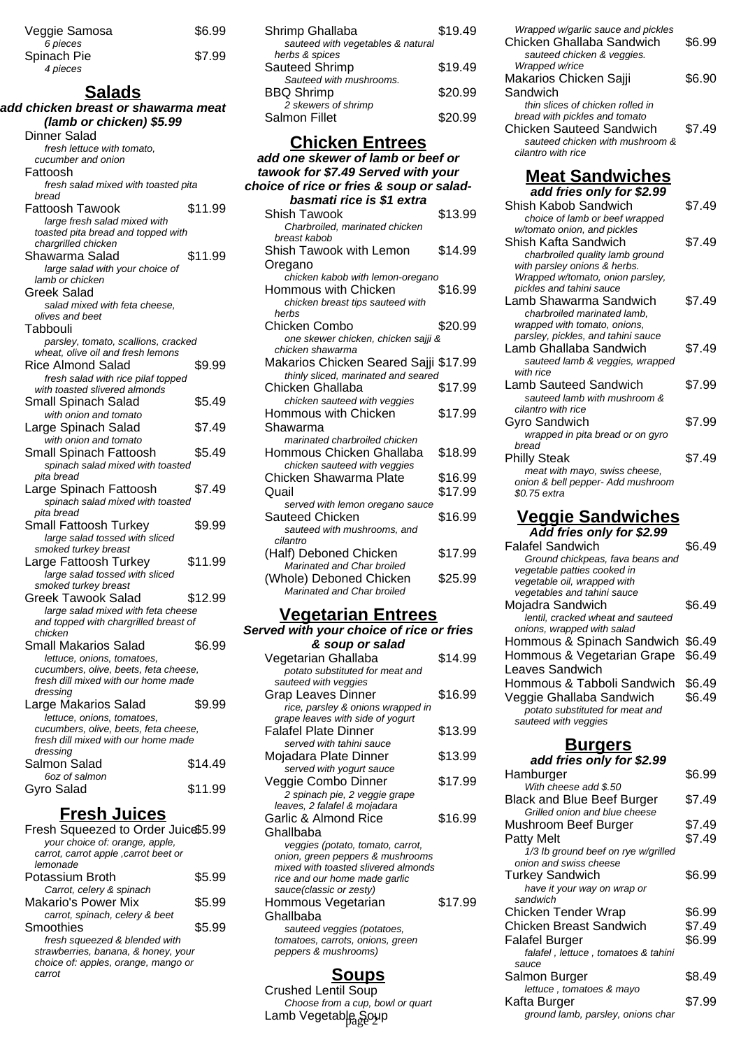| Veggie Samosa | \$6.99 |
|---------------|--------|
| 6 pieces      |        |
| Spinach Pie   | \$7.99 |
| 4 pieces      |        |

# **Salads**

| add chicken breast or shawarma meat                                      |         |
|--------------------------------------------------------------------------|---------|
| (lamb or chicken) \$5.99                                                 |         |
| Dinner Salad                                                             |         |
| fresh lettuce with tomato.                                               |         |
| cucumber and onion                                                       |         |
| Fattoosh                                                                 |         |
| fresh salad mixed with toasted pita                                      |         |
| bread                                                                    |         |
| Fattoosh Tawook                                                          | \$11.99 |
| large fresh salad mixed with                                             |         |
| toasted pita bread and topped with                                       |         |
| chargrilled chicken                                                      |         |
| Shawarma Salad                                                           | \$11.99 |
| large salad with your choice of                                          |         |
| lamb or chicken                                                          |         |
| Greek Salad                                                              |         |
| salad mixed with feta cheese.<br>olives and beet                         |         |
|                                                                          |         |
| Tabbouli                                                                 |         |
| parsley, tomato, scallions, cracked<br>wheat, olive oil and fresh lemons |         |
| Rice Almond Salad                                                        | \$9.99  |
| fresh salad with rice pilaf topped                                       |         |
| with toasted slivered almonds                                            |         |
| Small Spinach Salad                                                      | \$5.49  |
| with onion and tomato                                                    |         |
| Large Spinach Salad                                                      | \$7.49  |
| with onion and tomato                                                    |         |
| Small Spinach Fattoosh                                                   | \$5.49  |
|                                                                          |         |
| spinach salad mixed with toasted<br>pita bread                           |         |
| Large Spinach Fattoosh                                                   | \$7.49  |
| spinach salad mixed with toasted                                         |         |
| pita bread                                                               |         |
| Small Fattoosh Turkey                                                    | \$9.99  |
| large salad tossed with sliced                                           |         |
| smoked turkey breast                                                     |         |
| Large Fattoosh Turkey                                                    | \$11.99 |
| large salad tossed with sliced                                           |         |
| smoked turkey breast                                                     |         |
| Greek Tawook Salad                                                       | \$12.99 |
| large salad mixed with feta cheese                                       |         |
| and topped with chargrilled breast of                                    |         |
| chicken                                                                  |         |
| Small Makarios Salad                                                     | \$6.99  |
| lettuce, onions, tomatoes,                                               |         |
| cucumbers, olive, beets, feta cheese,                                    |         |
| fresh dill mixed with our home made                                      |         |
| dressing                                                                 |         |
| Large Makarios Salad                                                     | \$9.99  |
| lettuce, onions, tomatoes,                                               |         |
| cucumbers, olive, beets, feta cheese,                                    |         |
| fresh dill mixed with our home made                                      |         |
| dressing<br>Salmon Salad                                                 | \$14.49 |
| 6oz of salmon                                                            |         |
|                                                                          | \$11.99 |
| Gyro Salad                                                               |         |
| <u>Fresh Juices</u>                                                      |         |

| Fresh Squeezed to Order Juice\$5.99   |        |
|---------------------------------------|--------|
| your choice of: orange, apple,        |        |
| carrot, carrot apple , carrot beet or |        |
| lemonade                              |        |
| Potassium Broth                       | \$5.99 |
| Carrot, celery & spinach              |        |
| Makario's Power Mix                   | \$5.99 |
| carrot, spinach, celery & beet        |        |
| Smoothies                             | \$5.99 |
| fresh squeezed & blended with         |        |
| strawberries, banana, & honey, your   |        |
| choice of: apples, orange, mango or   |        |
| carrot                                |        |
|                                       |        |

| Shrimp Ghallaba                   | \$19.49 |
|-----------------------------------|---------|
| sauteed with vegetables & natural |         |
| herbs & spices                    |         |
| Sauteed Shrimp                    | \$19.49 |
| Sauteed with mushrooms.           |         |
| <b>BBQ Shrimp</b>                 | \$20.99 |
| 2 skewers of shrimp               |         |
| <b>Salmon Fillet</b>              | \$20.99 |
|                                   |         |

### **Chicken Entrees**

| <u>JIIIVNUITEITU UVJ</u>                             |         |
|------------------------------------------------------|---------|
| add one skewer of lamb or beef or                    |         |
| tawook for \$7.49 Served with your                   |         |
| choice of rice or fries & soup or salad-             |         |
| basmati rice is \$1 extra                            |         |
| Shish Tawook                                         | \$13.99 |
| Charbroiled, marinated chicken                       |         |
| breast kabob                                         |         |
| Shish Tawook with Lemon                              | \$14.99 |
| Oregano                                              |         |
| chicken kabob with lemon-oregano                     |         |
| Hommous with Chicken                                 | \$16.99 |
| chicken breast tips sauteed with                     |         |
| herbs                                                |         |
| Chicken Combo                                        | \$20.99 |
| one skewer chicken, chicken sajji &                  |         |
| chicken shawarma                                     |         |
| Makarios Chicken Seared Sajji \$17.99                |         |
| thinly sliced, marinated and seared                  |         |
| Chicken Ghallaba                                     | \$17.99 |
| chicken sauteed with veggies                         |         |
| Hommous with Chicken                                 | \$17.99 |
| Shawarma                                             |         |
| marinated charbroiled chicken                        |         |
| Hommous Chicken Ghallaba                             | \$18.99 |
| chicken sauteed with veggies                         |         |
| Chicken Shawarma Plate                               | \$16.99 |
| Quail                                                | \$17.99 |
| served with lemon oregano sauce                      |         |
| Sauteed Chicken                                      | \$16.99 |
| sauteed with mushrooms, and<br>cilantro              |         |
|                                                      | \$17.99 |
| (Half) Deboned Chicken<br>Marinated and Char broiled |         |
| (Whole) Deboned Chicken                              | \$25.99 |
| Marinated and Char broiled                           |         |
|                                                      |         |

# **Vegetarian Entrees**

| Served with your choice of rice or fries                 |         |
|----------------------------------------------------------|---------|
| & soup or salad                                          |         |
| Vegetarian Ghallaba                                      | \$14.99 |
| potato substituted for meat and                          |         |
| sauteed with veggies                                     |         |
| Grap Leaves Dinner                                       | \$16.99 |
| rice, parsley & onions wrapped in                        |         |
| grape leaves with side of yogurt                         |         |
| Falafel Plate Dinner<br>served with tahini sauce         | \$13.99 |
|                                                          | \$13.99 |
| Mojadara Plate Dinner<br>served with yogurt sauce        |         |
| Veggie Combo Dinner                                      | \$17.99 |
| 2 spinach pie, 2 veggie grape                            |         |
| leaves, 2 falafel & mojadara                             |         |
| Garlic & Almond Rice                                     | \$16.99 |
| Ghallbaba                                                |         |
| veggies (potato, tomato, carrot,                         |         |
| onion, green peppers & mushrooms                         |         |
| mixed with toasted slivered almonds                      |         |
| rice and our home made garlic                            |         |
| sauce(classic or zesty)                                  |         |
| Hommous Vegetarian                                       | \$17.99 |
| Ghallbaba                                                |         |
| sauteed veggies (potatoes,                               |         |
| tomatoes, carrots, onions, green<br>peppers & mushrooms) |         |
|                                                          |         |

# **Soups**

Crushed Lentil Soup Choose from a cup, bowl or quart Lamb Vegetable Soup

| Wrapped w/garlic sauce and pickles<br>Chicken Ghallaba Sandwich<br>sauteed chicken & veggies. | \$6.99 |
|-----------------------------------------------------------------------------------------------|--------|
| Wrapped w/rice<br>Makarios Chicken Sajji                                                      | \$6.90 |
| Sandwich                                                                                      |        |
| thin slices of chicken rolled in                                                              |        |
| bread with pickles and tomato                                                                 |        |
| Chicken Sauteed Sandwich                                                                      | \$7.49 |
| sauteed chicken with mushroom &                                                               |        |
| cilantro with rice                                                                            |        |

# **Meat Sandwiches**

| add fries only for \$2.99          |        |
|------------------------------------|--------|
| Shish Kabob Sandwich               | \$7.49 |
| choice of lamb or beef wrapped     |        |
| w/tomato onion, and pickles        |        |
| Shish Kafta Sandwich               | \$7.49 |
| charbroiled quality lamb ground    |        |
| with parsley onions & herbs.       |        |
| Wrapped w/tomato, onion parsley,   |        |
| pickles and tahini sauce           |        |
| Lamb Shawarma Sandwich             | \$7.49 |
| charbroiled marinated lamb,        |        |
| wrapped with tomato, onions,       |        |
| parsley, pickles, and tahini sauce |        |
| Lamb Ghallaba Sandwich             | \$7.49 |
| sauteed lamb & veggies, wrapped    |        |
| with rice                          |        |
| Lamb Sauteed Sandwich              | \$7.99 |
| sauteed lamb with mushroom &       |        |
| cilantro with rice                 |        |
| Gyro Sandwich                      | \$7.99 |
| wrapped in pita bread or on gyro   |        |
| bread                              |        |
| Philly Steak                       | \$7.49 |
| meat with mayo, swiss cheese,      |        |
| onion & bell pepper- Add mushroom  |        |
| \$0.75 extra                       |        |
|                                    |        |

# **Veggie Sandwiches**

| Add fries only for \$2.99         |        |
|-----------------------------------|--------|
| <b>Falafel Sandwich</b>           | \$6.49 |
| Ground chickpeas, fava beans and  |        |
| vegetable patties cooked in       |        |
| vegetable oil, wrapped with       |        |
| vegetables and tahini sauce       |        |
| Mojadra Sandwich                  | \$6.49 |
| lentil, cracked wheat and sauteed |        |
| onions, wrapped with salad        |        |
| Hommous & Spinach Sandwich        | \$6.49 |
| Hommous & Vegetarian Grape        | \$6.49 |
| Leaves Sandwich                   |        |
| Hommous & Tabboli Sandwich        | \$6.49 |
| Veggie Ghallaba Sandwich          | \$6.49 |
| potato substituted for meat and   |        |
| sauteed with veggies              |        |
|                                   |        |

# **Burgers**

| add fries only for \$2.99             |        |
|---------------------------------------|--------|
| Hamburger                             | \$6.99 |
| With cheese add \$.50                 |        |
| <b>Black and Blue Beef Burger</b>     | \$7.49 |
| Grilled onion and blue cheese         |        |
| Mushroom Beef Burger                  | \$7.49 |
| Patty Melt                            | \$7.49 |
| 1/3 lb ground beef on rye w/grilled   |        |
| onion and swiss cheese                |        |
| <b>Turkey Sandwich</b>                | \$6.99 |
| have it your way on wrap or           |        |
| sandwich                              |        |
| Chicken Tender Wrap                   | \$6.99 |
| <b>Chicken Breast Sandwich</b>        | \$7.49 |
| <b>Falafel Burger</b>                 | \$6.99 |
| falafel , lettuce , tomatoes & tahini |        |
| sauce                                 |        |
| Salmon Burger                         | \$8.49 |
| lettuce, tomatoes & mayo              |        |
| Kafta Burger                          | \$7.99 |
| ground lamb, parsley, onions char     |        |